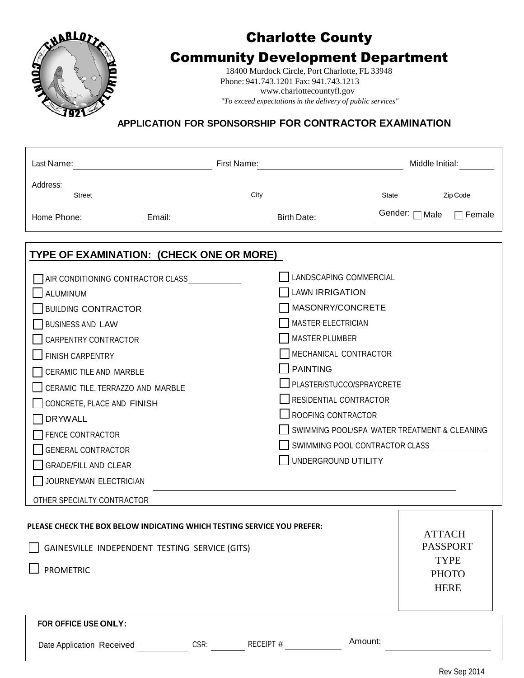

# Charlotte County

## Community Development Department

18400 Murdock Circle, Port Charlotte, FL 33948 Phone: 941.743.1201 Fax: 941.743.121[3](http://www.charlottecountyfl.gov/) [www.charlottecountyfl.gov](http://www.charlottecountyfl.gov/) *"To exceed expectations in the delivery of public services"*

### **APPLICATION FOR SPONSORSHIP FOR CONTRACTOR EXAMINATION**

| Last Name:                                                                                                                                    |                                                                                                                                                                                                                                | First Name:                                                                    |                                              | Middle Initial:                            |  |  |  |  |  |
|-----------------------------------------------------------------------------------------------------------------------------------------------|--------------------------------------------------------------------------------------------------------------------------------------------------------------------------------------------------------------------------------|--------------------------------------------------------------------------------|----------------------------------------------|--------------------------------------------|--|--|--|--|--|
| Address:                                                                                                                                      |                                                                                                                                                                                                                                |                                                                                |                                              |                                            |  |  |  |  |  |
| Street                                                                                                                                        |                                                                                                                                                                                                                                | City                                                                           | State                                        | Zip Code                                   |  |  |  |  |  |
| Home Phone:                                                                                                                                   | Email: Email: Email: Email: Email: Email: Email: Email: Email: Email: Email: Email: Email: Email: Email: Email: Email: Email: Email: Email: Email: Email: Email: Email: Email: Email: Email: Email: Email: Email: Email: Email | Birth Date:                                                                    |                                              | Gender: <sub>□</sub> Male<br>$\Box$ Female |  |  |  |  |  |
| TYPE OF EXAMINATION: (CHECK ONE OR MORE)                                                                                                      |                                                                                                                                                                                                                                |                                                                                |                                              |                                            |  |  |  |  |  |
| AIR CONDITIONING CONTRACTOR CLASS                                                                                                             |                                                                                                                                                                                                                                |                                                                                | LANDSCAPING COMMERCIAL                       |                                            |  |  |  |  |  |
| <b>LAWN IRRIGATION</b><br><b>ALUMINUM</b>                                                                                                     |                                                                                                                                                                                                                                |                                                                                |                                              |                                            |  |  |  |  |  |
|                                                                                                                                               | MASONRY/CONCRETE<br><b>BUILDING CONTRACTOR</b>                                                                                                                                                                                 |                                                                                |                                              |                                            |  |  |  |  |  |
| <b>BUSINESS AND LAW</b>                                                                                                                       | <b>MASTER ELECTRICIAN</b>                                                                                                                                                                                                      |                                                                                |                                              |                                            |  |  |  |  |  |
| <b>MASTER PLUMBER</b><br><b>CARPENTRY CONTRACTOR</b>                                                                                          |                                                                                                                                                                                                                                |                                                                                |                                              |                                            |  |  |  |  |  |
| MECHANICAL CONTRACTOR<br><b>FINISH CARPENTRY</b>                                                                                              |                                                                                                                                                                                                                                |                                                                                |                                              |                                            |  |  |  |  |  |
| CERAMIC TILE AND MARBLE                                                                                                                       |                                                                                                                                                                                                                                | <b>PAINTING</b>                                                                |                                              |                                            |  |  |  |  |  |
| CERAMIC TILE, TERRAZZO AND MARBLE                                                                                                             |                                                                                                                                                                                                                                |                                                                                | PLASTER/STUCCO/SPRAYCRETE                    |                                            |  |  |  |  |  |
| CONCRETE, PLACE AND FINISH                                                                                                                    |                                                                                                                                                                                                                                |                                                                                | RESIDENTIAL CONTRACTOR                       |                                            |  |  |  |  |  |
| <b>DRYWALL</b>                                                                                                                                |                                                                                                                                                                                                                                |                                                                                | $\sqcup$ ROOFING CONTRACTOR                  |                                            |  |  |  |  |  |
| FENCE CONTRACTOR                                                                                                                              |                                                                                                                                                                                                                                |                                                                                | SWIMMING POOL/SPA WATER TREATMENT & CLEANING |                                            |  |  |  |  |  |
| <b>GENERAL CONTRACTOR</b>                                                                                                                     |                                                                                                                                                                                                                                |                                                                                | SWIMMING POOL CONTRACTOR CLASS               |                                            |  |  |  |  |  |
| GRADE/FILL AND CLEAR                                                                                                                          | UNDERGROUND UTILITY                                                                                                                                                                                                            |                                                                                |                                              |                                            |  |  |  |  |  |
|                                                                                                                                               | JOURNEYMAN ELECTRICIAN                                                                                                                                                                                                         |                                                                                |                                              |                                            |  |  |  |  |  |
| OTHER SPECIALTY CONTRACTOR                                                                                                                    |                                                                                                                                                                                                                                |                                                                                |                                              |                                            |  |  |  |  |  |
| PLEASE CHECK THE BOX BELOW INDICATING WHICH TESTING SERVICE YOU PREFER:<br>GAINESVILLE INDEPENDENT TESTING SERVICE (GITS)<br><b>PROMETRIC</b> |                                                                                                                                                                                                                                | <b>ATTACH</b><br><b>PASSPORT</b><br><b>TYPE</b><br><b>PHOTO</b><br><b>HERE</b> |                                              |                                            |  |  |  |  |  |
| FOR OFFICE USE ONLY:                                                                                                                          |                                                                                                                                                                                                                                |                                                                                |                                              |                                            |  |  |  |  |  |
| Date Application Received                                                                                                                     | CSR:                                                                                                                                                                                                                           | RECEIPT #                                                                      | Amount:                                      |                                            |  |  |  |  |  |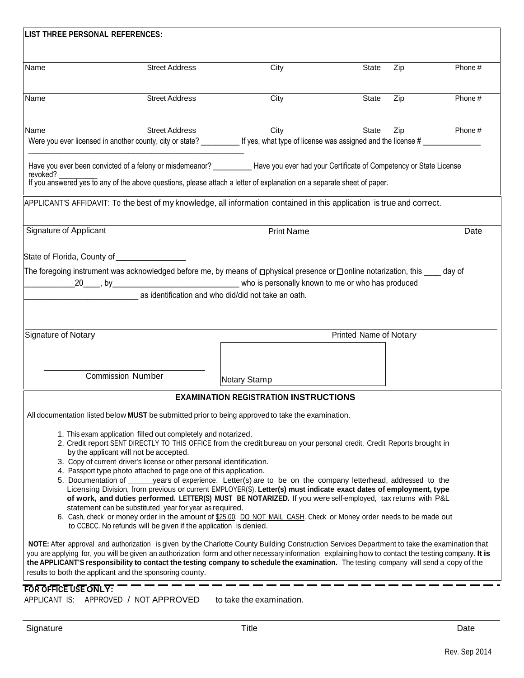| LIST THREE PERSONAL REFERENCES:                                                                                                                                                                                                                                                                                                                          |                                                            |                                                                                                                                        |              |     |        |  |  |
|----------------------------------------------------------------------------------------------------------------------------------------------------------------------------------------------------------------------------------------------------------------------------------------------------------------------------------------------------------|------------------------------------------------------------|----------------------------------------------------------------------------------------------------------------------------------------|--------------|-----|--------|--|--|
| Name                                                                                                                                                                                                                                                                                                                                                     | <b>Street Address</b>                                      | City                                                                                                                                   | <b>State</b> | Zip | Phone# |  |  |
|                                                                                                                                                                                                                                                                                                                                                          |                                                            |                                                                                                                                        |              |     |        |  |  |
| Name                                                                                                                                                                                                                                                                                                                                                     | <b>Street Address</b>                                      | City                                                                                                                                   | <b>State</b> | Zip | Phone# |  |  |
| Name                                                                                                                                                                                                                                                                                                                                                     | <b>Street Address</b>                                      | City                                                                                                                                   | <b>State</b> | Zip | Phone# |  |  |
|                                                                                                                                                                                                                                                                                                                                                          |                                                            | Were you ever licensed in another county, city or state?<br>If yes, what type of license was assigned and the license #                |              |     |        |  |  |
| revoked?                                                                                                                                                                                                                                                                                                                                                 |                                                            | Have you ever been convicted of a felony or misdemeanor? ____________Have you ever had your Certificate of Competency or State License |              |     |        |  |  |
|                                                                                                                                                                                                                                                                                                                                                          |                                                            | If you answered yes to any of the above questions, please attach a letter of explanation on a separate sheet of paper.                 |              |     |        |  |  |
|                                                                                                                                                                                                                                                                                                                                                          |                                                            | APPLICANT'S AFFIDAVIT: To the best of my knowledge, all information contained in this application is true and correct.                 |              |     |        |  |  |
| <b>Signature of Applicant</b>                                                                                                                                                                                                                                                                                                                            |                                                            | <b>Print Name</b>                                                                                                                      |              |     | Date   |  |  |
| State of Florida, County of                                                                                                                                                                                                                                                                                                                              | $\frac{1}{\sqrt{1-\frac{1}{2}}\left(1-\frac{1}{2}\right)}$ |                                                                                                                                        |              |     |        |  |  |
|                                                                                                                                                                                                                                                                                                                                                          |                                                            | The foregoing instrument was acknowledged before me, by means of <b>physical presence or</b> Donline notarization, this day of         |              |     |        |  |  |
|                                                                                                                                                                                                                                                                                                                                                          |                                                            |                                                                                                                                        |              |     |        |  |  |
|                                                                                                                                                                                                                                                                                                                                                          |                                                            | as identification and who did/did not take an oath.                                                                                    |              |     |        |  |  |
|                                                                                                                                                                                                                                                                                                                                                          |                                                            |                                                                                                                                        |              |     |        |  |  |
| <b>Printed Name of Notary</b><br>Signature of Notary                                                                                                                                                                                                                                                                                                     |                                                            |                                                                                                                                        |              |     |        |  |  |
|                                                                                                                                                                                                                                                                                                                                                          |                                                            |                                                                                                                                        |              |     |        |  |  |
|                                                                                                                                                                                                                                                                                                                                                          |                                                            |                                                                                                                                        |              |     |        |  |  |
|                                                                                                                                                                                                                                                                                                                                                          | <b>Commission Number</b>                                   | Notary Stamp                                                                                                                           |              |     |        |  |  |
|                                                                                                                                                                                                                                                                                                                                                          |                                                            | <b>EXAMINATION REGISTRATION INSTRUCTIONS</b>                                                                                           |              |     |        |  |  |
|                                                                                                                                                                                                                                                                                                                                                          |                                                            | All documentation listed below MUST be submitted prior to being approved to take the examination.                                      |              |     |        |  |  |
| 1. This exam application filled out completely and notarized.                                                                                                                                                                                                                                                                                            |                                                            |                                                                                                                                        |              |     |        |  |  |
| 2. Credit report SENT DIRECTLY TO THIS OFFICE from the credit bureau on your personal credit. Credit Reports brought in                                                                                                                                                                                                                                  |                                                            |                                                                                                                                        |              |     |        |  |  |
| by the applicant will not be accepted.<br>3. Copy of current driver's license or other personal identification.                                                                                                                                                                                                                                          |                                                            |                                                                                                                                        |              |     |        |  |  |
| 4. Passport type photo attached to page one of this application.                                                                                                                                                                                                                                                                                         |                                                            |                                                                                                                                        |              |     |        |  |  |
| 5. Documentation of ______ years of experience. Letter(s) are to be on the company letterhead, addressed to the<br>Licensing Division, from previous or current EMPLOYER(S). Letter(s) must indicate exact dates of employment, type                                                                                                                     |                                                            |                                                                                                                                        |              |     |        |  |  |
| of work, and duties performed. LETTER(S) MUST BE NOTARIZED. If you were self-employed, tax returns with P&L                                                                                                                                                                                                                                              |                                                            |                                                                                                                                        |              |     |        |  |  |
| statement can be substituted year for year as required.<br>6. Cash, check or money order in the amount of \$25.00. DO NOT MAIL CASH. Check or Money order needs to be made out<br>to CCBCC. No refunds will be given if the application is denied.                                                                                                       |                                                            |                                                                                                                                        |              |     |        |  |  |
| NOTE: After approval and authorization is given by the Charlotte County Building Construction Services Department to take the examination that                                                                                                                                                                                                           |                                                            |                                                                                                                                        |              |     |        |  |  |
| you are applying for, you will be given an authorization form and other necessary information explaining how to contact the testing company. It is<br>the APPLICANT'S responsibility to contact the testing company to schedule the examination. The testing company will send a copy of the<br>results to both the applicant and the sponsoring county. |                                                            |                                                                                                                                        |              |     |        |  |  |
| FOR OFFICE USE ONLY:                                                                                                                                                                                                                                                                                                                                     |                                                            |                                                                                                                                        |              |     |        |  |  |
| APPLICANT IS: APPROVED / NOT APPROVED                                                                                                                                                                                                                                                                                                                    |                                                            | to take the examination.                                                                                                               |              |     |        |  |  |